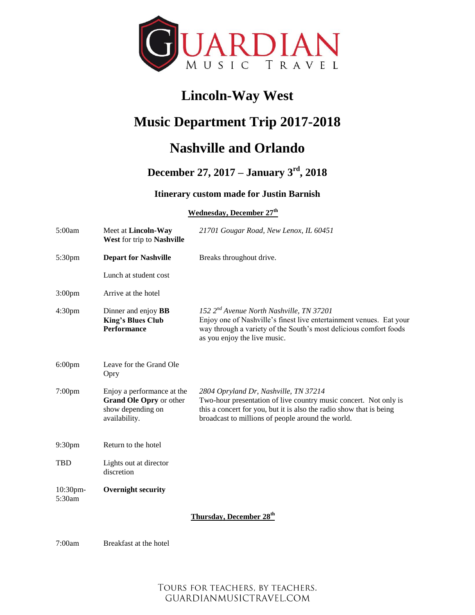

# **Lincoln-Way West**

# **Music Department Trip 2017-2018**

# **Nashville and Orlando**

## **December 27, 2017 – January 3rd, 2018**

## **Itinerary custom made for Justin Barnish**

### **Wednesday, December 27th**

| 5:00am             | Meet at Lincoln-Way<br>West for trip to Nashville                                           | 21701 Gougar Road, New Lenox, IL 60451                                                                                                                                                                                                |
|--------------------|---------------------------------------------------------------------------------------------|---------------------------------------------------------------------------------------------------------------------------------------------------------------------------------------------------------------------------------------|
| 5:30pm             | <b>Depart for Nashville</b>                                                                 | Breaks throughout drive.                                                                                                                                                                                                              |
|                    | Lunch at student cost                                                                       |                                                                                                                                                                                                                                       |
| 3:00 <sub>pm</sub> | Arrive at the hotel                                                                         |                                                                                                                                                                                                                                       |
| 4:30 <sub>pm</sub> | Dinner and enjoy <b>BB</b><br><b>King's Blues Club</b><br><b>Performance</b>                | 152 $2^{nd}$ Avenue North Nashville, TN 37201<br>Enjoy one of Nashville's finest live entertainment venues. Eat your<br>way through a variety of the South's most delicious comfort foods<br>as you enjoy the live music.             |
| $6:00$ pm          | Leave for the Grand Ole<br>Opry                                                             |                                                                                                                                                                                                                                       |
| $7:00$ pm          | Enjoy a performance at the<br>Grand Ole Opry or other<br>show depending on<br>availability. | 2804 Opryland Dr, Nashville, TN 37214<br>Two-hour presentation of live country music concert. Not only is<br>this a concert for you, but it is also the radio show that is being<br>broadcast to millions of people around the world. |
| 9:30pm             | Return to the hotel                                                                         |                                                                                                                                                                                                                                       |
| <b>TBD</b>         | Lights out at director<br>discretion                                                        |                                                                                                                                                                                                                                       |
| 10:30pm-<br>5:30am | <b>Overnight security</b>                                                                   |                                                                                                                                                                                                                                       |
|                    |                                                                                             | Thursday, December 28 <sup>th</sup>                                                                                                                                                                                                   |
| 7:00am             | Breakfast at the hotel                                                                      |                                                                                                                                                                                                                                       |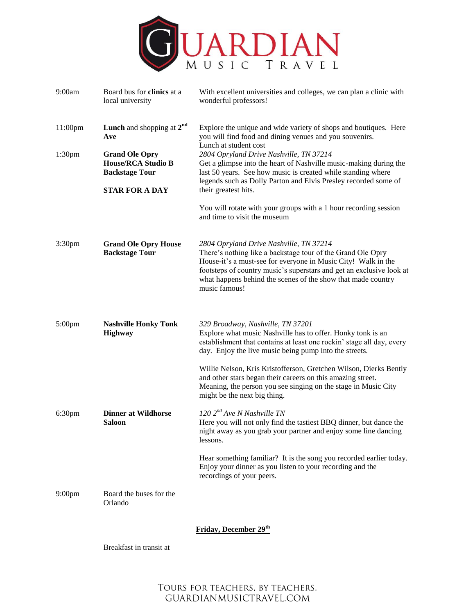

| 9:00am             | Board bus for clinics at a<br>local university                              | With excellent universities and colleges, we can plan a clinic with<br>wonderful professors!                                                                                                                                                                                                                                     |
|--------------------|-----------------------------------------------------------------------------|----------------------------------------------------------------------------------------------------------------------------------------------------------------------------------------------------------------------------------------------------------------------------------------------------------------------------------|
| $11:00$ pm         | <b>Lunch</b> and shopping at $2^{nd}$<br>Ave                                | Explore the unique and wide variety of shops and boutiques. Here<br>you will find food and dining venues and you souvenirs.<br>Lunch at student cost                                                                                                                                                                             |
| 1:30 <sub>pm</sub> | <b>Grand Ole Opry</b><br><b>House/RCA Studio B</b><br><b>Backstage Tour</b> | 2804 Opryland Drive Nashville, TN 37214<br>Get a glimpse into the heart of Nashville music-making during the<br>last 50 years. See how music is created while standing where                                                                                                                                                     |
|                    | <b>STAR FOR A DAY</b>                                                       | legends such as Dolly Parton and Elvis Presley recorded some of<br>their greatest hits.                                                                                                                                                                                                                                          |
|                    |                                                                             | You will rotate with your groups with a 1 hour recording session<br>and time to visit the museum                                                                                                                                                                                                                                 |
| 3:30 <sub>pm</sub> | <b>Grand Ole Opry House</b><br><b>Backstage Tour</b>                        | 2804 Opryland Drive Nashville, TN 37214<br>There's nothing like a backstage tour of the Grand Ole Opry<br>House-it's a must-see for everyone in Music City! Walk in the<br>footsteps of country music's superstars and get an exclusive look at<br>what happens behind the scenes of the show that made country<br>music famous! |
| 5:00pm             | <b>Nashville Honky Tonk</b><br><b>Highway</b>                               | 329 Broadway, Nashville, TN 37201<br>Explore what music Nashville has to offer. Honky tonk is an<br>establishment that contains at least one rockin' stage all day, every<br>day. Enjoy the live music being pump into the streets.                                                                                              |
|                    |                                                                             | Willie Nelson, Kris Kristofferson, Gretchen Wilson, Dierks Bently<br>and other stars began their careers on this amazing street.<br>Meaning, the person you see singing on the stage in Music City<br>might be the next big thing.                                                                                               |
| 6:30pm             | <b>Dinner at Wildhorse</b><br>Saloon                                        | 120 2 <sup>nd</sup> Ave N Nashville TN<br>Here you will not only find the tastiest BBQ dinner, but dance the<br>night away as you grab your partner and enjoy some line dancing<br>lessons.                                                                                                                                      |
|                    |                                                                             | Hear something familiar? It is the song you recorded earlier today.<br>Enjoy your dinner as you listen to your recording and the<br>recordings of your peers.                                                                                                                                                                    |
| 9:00 <sub>pm</sub> | Board the buses for the<br>Orlando                                          |                                                                                                                                                                                                                                                                                                                                  |
|                    |                                                                             | Friday, December 29th                                                                                                                                                                                                                                                                                                            |

Breakfast in transit at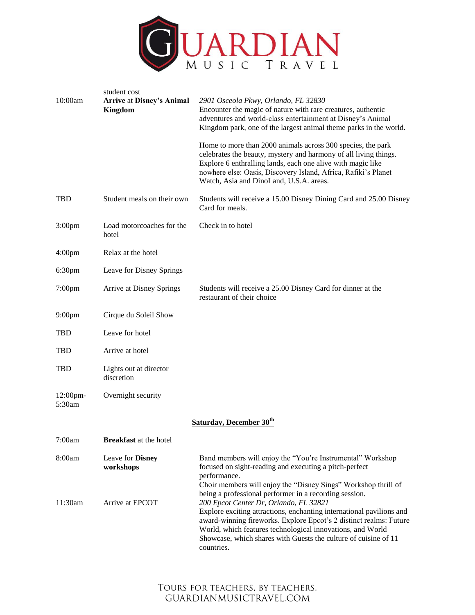

| 10:00am            | student cost<br><b>Arrive at Disney's Animal</b><br>Kingdom | 2901 Osceola Pkwy, Orlando, FL 32830<br>Encounter the magic of nature with rare creatures, authentic<br>adventures and world-class entertainment at Disney's Animal<br>Kingdom park, one of the largest animal theme parks in the world.                                                                                                                                                                                                                        |
|--------------------|-------------------------------------------------------------|-----------------------------------------------------------------------------------------------------------------------------------------------------------------------------------------------------------------------------------------------------------------------------------------------------------------------------------------------------------------------------------------------------------------------------------------------------------------|
|                    |                                                             | Home to more than 2000 animals across 300 species, the park<br>celebrates the beauty, mystery and harmony of all living things.<br>Explore 6 enthralling lands, each one alive with magic like<br>nowhere else: Oasis, Discovery Island, Africa, Rafiki's Planet<br>Watch, Asia and DinoLand, U.S.A. areas.                                                                                                                                                     |
| <b>TBD</b>         | Student meals on their own                                  | Students will receive a 15.00 Disney Dining Card and 25.00 Disney<br>Card for meals.                                                                                                                                                                                                                                                                                                                                                                            |
| 3:00 <sub>pm</sub> | Load motorcoaches for the<br>hotel                          | Check in to hotel                                                                                                                                                                                                                                                                                                                                                                                                                                               |
| 4:00 <sub>pm</sub> | Relax at the hotel                                          |                                                                                                                                                                                                                                                                                                                                                                                                                                                                 |
| 6:30pm             | Leave for Disney Springs                                    |                                                                                                                                                                                                                                                                                                                                                                                                                                                                 |
| $7:00$ pm          | Arrive at Disney Springs                                    | Students will receive a 25.00 Disney Card for dinner at the<br>restaurant of their choice                                                                                                                                                                                                                                                                                                                                                                       |
| 9:00pm             | Cirque du Soleil Show                                       |                                                                                                                                                                                                                                                                                                                                                                                                                                                                 |
| <b>TBD</b>         | Leave for hotel                                             |                                                                                                                                                                                                                                                                                                                                                                                                                                                                 |
| <b>TBD</b>         | Arrive at hotel                                             |                                                                                                                                                                                                                                                                                                                                                                                                                                                                 |
| TBD                | Lights out at director<br>discretion                        |                                                                                                                                                                                                                                                                                                                                                                                                                                                                 |
| 12:00pm-<br>5:30am | Overnight security                                          |                                                                                                                                                                                                                                                                                                                                                                                                                                                                 |
|                    |                                                             | Saturday, December 30 <sup>th</sup>                                                                                                                                                                                                                                                                                                                                                                                                                             |
| 7:00am             | <b>Breakfast</b> at the hotel                               |                                                                                                                                                                                                                                                                                                                                                                                                                                                                 |
| 8:00am             | Leave for Disney<br>workshops                               | Band members will enjoy the "You're Instrumental" Workshop<br>focused on sight-reading and executing a pitch-perfect<br>performance.                                                                                                                                                                                                                                                                                                                            |
| 11:30am            | Arrive at EPCOT                                             | Choir members will enjoy the "Disney Sings" Workshop thrill of<br>being a professional performer in a recording session.<br>200 Epcot Center Dr, Orlando, FL 32821<br>Explore exciting attractions, enchanting international pavilions and<br>award-winning fireworks. Explore Epcot's 2 distinct realms: Future<br>World, which features technological innovations, and World<br>Showcase, which shares with Guests the culture of cuisine of 11<br>countries. |

## TOURS FOR TEACHERS, BY TEACHERS. GUARDIANMUSICTRAVEL.COM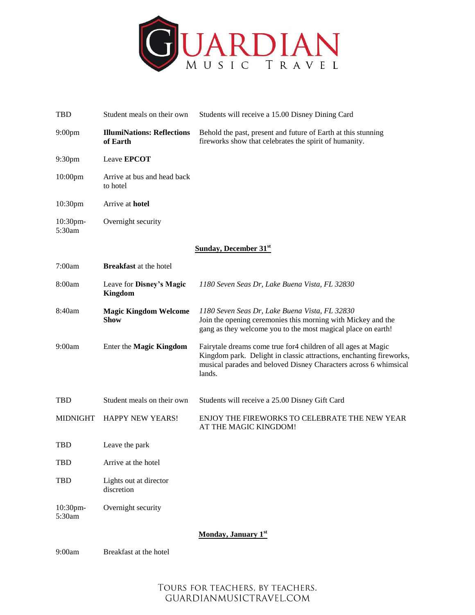

| <b>TBD</b>         | Student meals on their own                    | Students will receive a 15.00 Disney Dining Card                                                                                                                                                                    |
|--------------------|-----------------------------------------------|---------------------------------------------------------------------------------------------------------------------------------------------------------------------------------------------------------------------|
| 9:00 <sub>pm</sub> | <b>IllumiNations: Reflections</b><br>of Earth | Behold the past, present and future of Earth at this stunning<br>fireworks show that celebrates the spirit of humanity.                                                                                             |
| 9:30pm             | Leave <b>EPCOT</b>                            |                                                                                                                                                                                                                     |
| $10:00$ pm         | Arrive at bus and head back<br>to hotel       |                                                                                                                                                                                                                     |
| 10:30pm            | Arrive at <b>hotel</b>                        |                                                                                                                                                                                                                     |
| 10:30pm-<br>5:30am | Overnight security                            |                                                                                                                                                                                                                     |
|                    |                                               | <b>Sunday, December 31st</b>                                                                                                                                                                                        |
| 7:00am             | <b>Breakfast</b> at the hotel                 |                                                                                                                                                                                                                     |
| 8:00am             | Leave for Disney's Magic<br>Kingdom           | 1180 Seven Seas Dr, Lake Buena Vista, FL 32830                                                                                                                                                                      |
| 8:40am             | <b>Magic Kingdom Welcome</b><br><b>Show</b>   | 1180 Seven Seas Dr, Lake Buena Vista, FL 32830<br>Join the opening ceremonies this morning with Mickey and the<br>gang as they welcome you to the most magical place on earth!                                      |
| 9:00am             | Enter the Magic Kingdom                       | Fairytale dreams come true for 4 children of all ages at Magic<br>Kingdom park. Delight in classic attractions, enchanting fireworks,<br>musical parades and beloved Disney Characters across 6 whimsical<br>lands. |
| <b>TBD</b>         | Student meals on their own                    | Students will receive a 25.00 Disney Gift Card                                                                                                                                                                      |
| <b>MIDNIGHT</b>    | <b>HAPPY NEW YEARS!</b>                       | ENJOY THE FIREWORKS TO CELEBRATE THE NEW YEAR<br>AT THE MAGIC KINGDOM!                                                                                                                                              |
| TBD                | Leave the park                                |                                                                                                                                                                                                                     |
| <b>TBD</b>         | Arrive at the hotel                           |                                                                                                                                                                                                                     |
| <b>TBD</b>         | Lights out at director<br>discretion          |                                                                                                                                                                                                                     |
| 10:30pm-<br>5:30am | Overnight security                            |                                                                                                                                                                                                                     |
|                    |                                               | Monday, January 1st                                                                                                                                                                                                 |

9:00am Breakfast at the hotel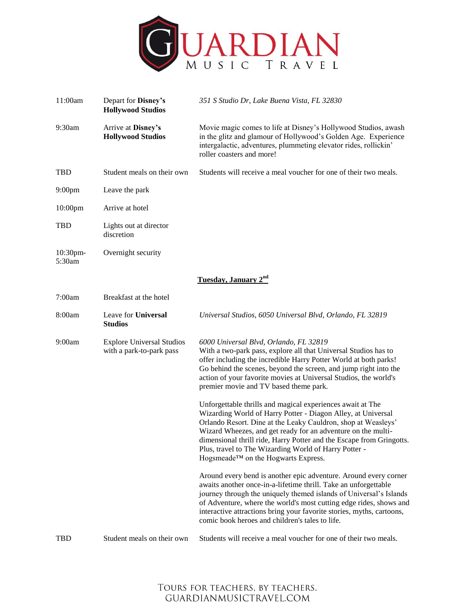

| 11:00am            | Depart for Disney's<br><b>Hollywood Studios</b>              | 351 S Studio Dr, Lake Buena Vista, FL 32830                                                                                                                                                                                                                                                                                                                                                                                         |
|--------------------|--------------------------------------------------------------|-------------------------------------------------------------------------------------------------------------------------------------------------------------------------------------------------------------------------------------------------------------------------------------------------------------------------------------------------------------------------------------------------------------------------------------|
| 9:30am             | Arrive at Disney's<br><b>Hollywood Studios</b>               | Movie magic comes to life at Disney's Hollywood Studios, awash<br>in the glitz and glamour of Hollywood's Golden Age. Experience<br>intergalactic, adventures, plummeting elevator rides, rollickin'<br>roller coasters and more!                                                                                                                                                                                                   |
| <b>TBD</b>         | Student meals on their own                                   | Students will receive a meal voucher for one of their two meals.                                                                                                                                                                                                                                                                                                                                                                    |
| 9:00 <sub>pm</sub> | Leave the park                                               |                                                                                                                                                                                                                                                                                                                                                                                                                                     |
| $10:00$ pm         | Arrive at hotel                                              |                                                                                                                                                                                                                                                                                                                                                                                                                                     |
| <b>TBD</b>         | Lights out at director<br>discretion                         |                                                                                                                                                                                                                                                                                                                                                                                                                                     |
| 10:30pm-<br>5:30am | Overnight security                                           |                                                                                                                                                                                                                                                                                                                                                                                                                                     |
|                    |                                                              | Tuesday, January 2nd                                                                                                                                                                                                                                                                                                                                                                                                                |
| 7:00am             | Breakfast at the hotel                                       |                                                                                                                                                                                                                                                                                                                                                                                                                                     |
| 8:00am             | Leave for Universal<br><b>Studios</b>                        | Universal Studios, 6050 Universal Blvd, Orlando, FL 32819                                                                                                                                                                                                                                                                                                                                                                           |
| 9:00am             | <b>Explore Universal Studios</b><br>with a park-to-park pass | 6000 Universal Blvd, Orlando, FL 32819<br>With a two-park pass, explore all that Universal Studios has to<br>offer including the incredible Harry Potter World at both parks!<br>Go behind the scenes, beyond the screen, and jump right into the<br>action of your favorite movies at Universal Studios, the world's<br>premier movie and TV based theme park.                                                                     |
|                    |                                                              | Unforgettable thrills and magical experiences await at The<br>Wizarding World of Harry Potter - Diagon Alley, at Universal<br>Orlando Resort. Dine at the Leaky Cauldron, shop at Weasleys'<br>Wizard Wheezes, and get ready for an adventure on the multi-<br>dimensional thrill ride, Harry Potter and the Escape from Gringotts.<br>Plus, travel to The Wizarding World of Harry Potter -<br>Hogsmeade™ on the Hogwarts Express. |
|                    |                                                              | Around every bend is another epic adventure. Around every corner<br>awaits another once-in-a-lifetime thrill. Take an unforgettable<br>journey through the uniquely themed islands of Universal's Islands<br>of Adventure, where the world's most cutting edge rides, shows and<br>interactive attractions bring your favorite stories, myths, cartoons,<br>comic book heroes and children's tales to life.                         |
| <b>TBD</b>         | Student meals on their own                                   | Students will receive a meal voucher for one of their two meals.                                                                                                                                                                                                                                                                                                                                                                    |